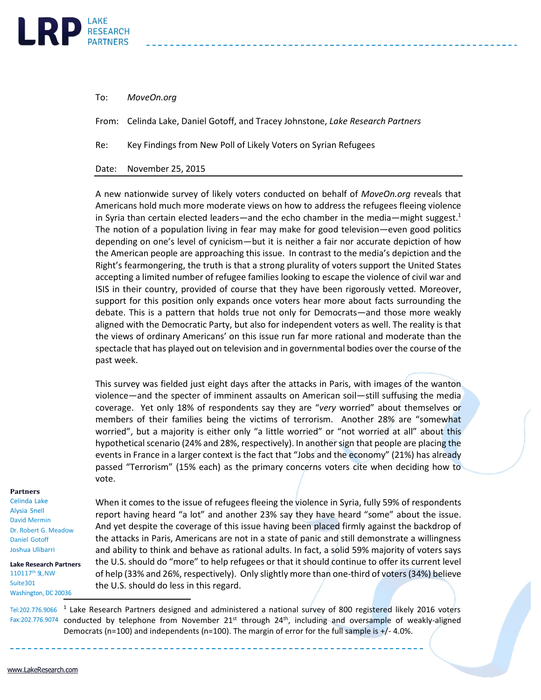

To: *MoveOn.org*

From: Celinda Lake, Daniel Gotoff, and Tracey Johnstone, *Lake Research Partners*

Re: Key Findings from New Poll of Likely Voters on Syrian Refugees

Date: November 25, 2015

A new nationwide survey of likely voters conducted on behalf of *MoveOn.org* reveals that Americans hold much more moderate views on how to address the refugees fleeing violence in Syria than certain elected leaders—and the echo chamber in the media—might suggest. $1$ The notion of a population living in fear may make for good television—even good politics depending on one's level of cynicism—but it is neither a fair nor accurate depiction of how the American people are approaching this issue. In contrast to the media's depiction and the Right's fearmongering, the truth is that a strong plurality of voters support the United States accepting a limited number of refugee families looking to escape the violence of civil war and ISIS in their country, provided of course that they have been rigorously vetted. Moreover, support for this position only expands once voters hear more about facts surrounding the debate. This is a pattern that holds true not only for Democrats—and those more weakly aligned with the Democratic Party, but also for independent voters as well. The reality is that the views of ordinary Americans' on this issue run far more rational and moderate than the spectacle that has played out on television and in governmental bodies over the course of the past week.

This survey was fielded just eight days after the attacks in Paris, with images of the wanton violence—and the specter of imminent assaults on American soil—still suffusing the media coverage. Yet only 18% of respondents say they are "*very* worried" about themselves or members of their families being the victims of terrorism. Another 28% are "somewhat worried", but a majority is either only "a little worried" or "not worried at all" about this hypothetical scenario (24% and 28%, respectively). In another sign that people are placing the events in France in a larger context is the fact that "Jobs and the economy" (21%) has already passed "Terrorism" (15% each) as the primary concerns voters cite when deciding how to vote.

## **Partners**

Celinda Lake Alysia Snell David Mermin Dr. Robert G. Meadow Daniel Gotoff Joshua Ulibarri

**Lake Research Partners** 110117<sup>th</sup> St., NW Suite301 Washington, DC 20036

When it comes to the issue of refugees fleeing the violence in Syria, fully 59% of respondents report having heard "a lot" and another 23% say they have heard "some" about the issue. And yet despite the coverage of this issue having been placed firmly against the backdrop of the attacks in Paris, Americans are not in a state of panic and still demonstrate a willingness and ability to think and behave as rational adults. In fact, a solid 59% majority of voters says the U.S. should do "more" to help refugees or that it should continue to offer its current level of help (33% and 26%, respectively). Only slightly more than one-third of voters (34%) believe the U.S. should do less in this regard.

<sup>1</sup> Lake Research Partners designed and administered a national survey of 800 registered likely 2016 voters  $Fax: 202.776.9074$  conducted by telephone from November 21st through 24<sup>th</sup>, including and oversample of weakly-aligned Democrats (n=100) and independents (n=100). The margin of error for the full sample is +/- 4.0%.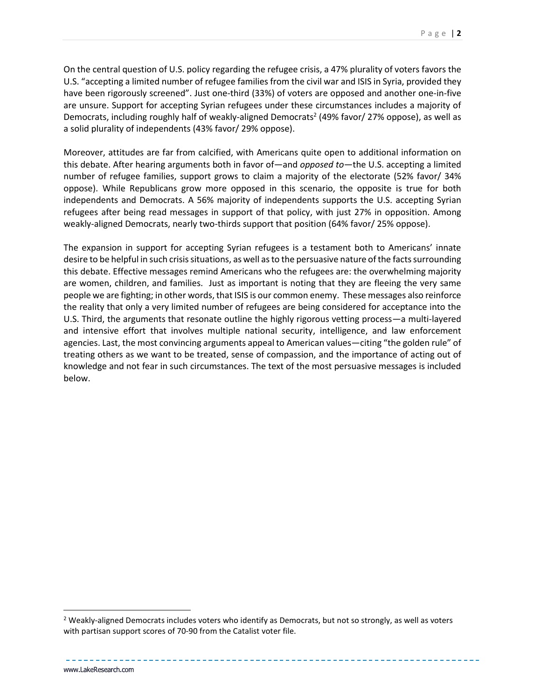On the central question of U.S. policy regarding the refugee crisis, a 47% plurality of voters favors the U.S. "accepting a limited number of refugee families from the civil war and ISIS in Syria, provided they have been rigorously screened". Just one-third (33%) of voters are opposed and another one-in-five are unsure. Support for accepting Syrian refugees under these circumstances includes a majority of Democrats, including roughly half of weakly-aligned Democrats<sup>2</sup> (49% favor/ 27% oppose), as well as a solid plurality of independents (43% favor/ 29% oppose).

Moreover, attitudes are far from calcified, with Americans quite open to additional information on this debate. After hearing arguments both in favor of—and *opposed to*—the U.S. accepting a limited number of refugee families, support grows to claim a majority of the electorate (52% favor/ 34% oppose). While Republicans grow more opposed in this scenario, the opposite is true for both independents and Democrats. A 56% majority of independents supports the U.S. accepting Syrian refugees after being read messages in support of that policy, with just 27% in opposition. Among weakly-aligned Democrats, nearly two-thirds support that position (64% favor/ 25% oppose).

The expansion in support for accepting Syrian refugees is a testament both to Americans' innate desire to be helpful in such crisis situations, as well as to the persuasive nature of the facts surrounding this debate. Effective messages remind Americans who the refugees are: the overwhelming majority are women, children, and families. Just as important is noting that they are fleeing the very same people we are fighting; in other words, that ISIS is our common enemy. These messages also reinforce the reality that only a very limited number of refugees are being considered for acceptance into the U.S. Third, the arguments that resonate outline the highly rigorous vetting process—a multi-layered and intensive effort that involves multiple national security, intelligence, and law enforcement agencies. Last, the most convincing arguments appeal to American values—citing "the golden rule" of treating others as we want to be treated, sense of compassion, and the importance of acting out of knowledge and not fear in such circumstances. The text of the most persuasive messages is included below.

l

<sup>&</sup>lt;sup>2</sup> Weakly-aligned Democrats includes voters who identify as Democrats, but not so strongly, as well as voters with partisan support scores of 70-90 from the Catalist voter file.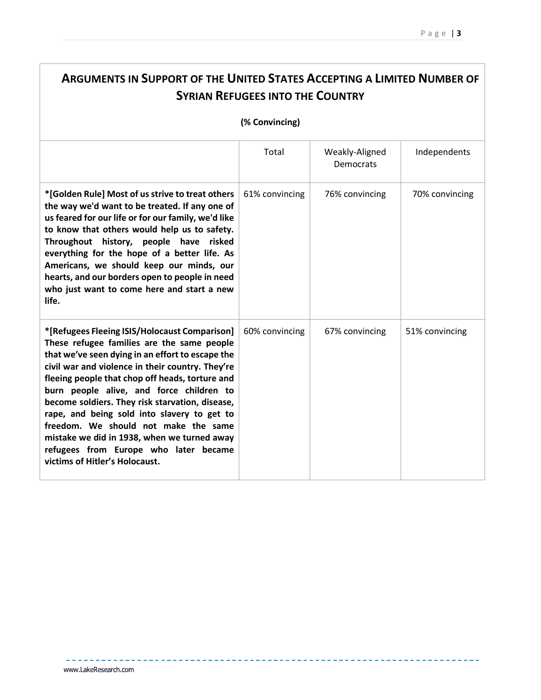------------------

| <b>ARGUMENTS IN SUPPORT OF THE UNITED STATES ACCEPTING A LIMITED NUMBER OF</b>                                                                                                                                                                                                                                                                                                                                                                                                                                                                                         |                |                             |                |  |  |  |
|------------------------------------------------------------------------------------------------------------------------------------------------------------------------------------------------------------------------------------------------------------------------------------------------------------------------------------------------------------------------------------------------------------------------------------------------------------------------------------------------------------------------------------------------------------------------|----------------|-----------------------------|----------------|--|--|--|
| <b>SYRIAN REFUGEES INTO THE COUNTRY</b>                                                                                                                                                                                                                                                                                                                                                                                                                                                                                                                                |                |                             |                |  |  |  |
| (% Convincing)                                                                                                                                                                                                                                                                                                                                                                                                                                                                                                                                                         |                |                             |                |  |  |  |
|                                                                                                                                                                                                                                                                                                                                                                                                                                                                                                                                                                        | Total          | Weakly-Aligned<br>Democrats | Independents   |  |  |  |
| *[Golden Rule] Most of us strive to treat others<br>the way we'd want to be treated. If any one of<br>us feared for our life or for our family, we'd like<br>to know that others would help us to safety.<br>Throughout history, people have risked<br>everything for the hope of a better life. As<br>Americans, we should keep our minds, our<br>hearts, and our borders open to people in need<br>who just want to come here and start a new<br>life.                                                                                                               | 61% convincing | 76% convincing              | 70% convincing |  |  |  |
| *[Refugees Fleeing ISIS/Holocaust Comparison]<br>These refugee families are the same people<br>that we've seen dying in an effort to escape the<br>civil war and violence in their country. They're<br>fleeing people that chop off heads, torture and<br>burn people alive, and force children to<br>become soldiers. They risk starvation, disease,<br>rape, and being sold into slavery to get to<br>freedom. We should not make the same<br>mistake we did in 1938, when we turned away<br>refugees from Europe who later became<br>victims of Hitler's Holocaust. | 60% convincing | 67% convincing              | 51% convincing |  |  |  |

---------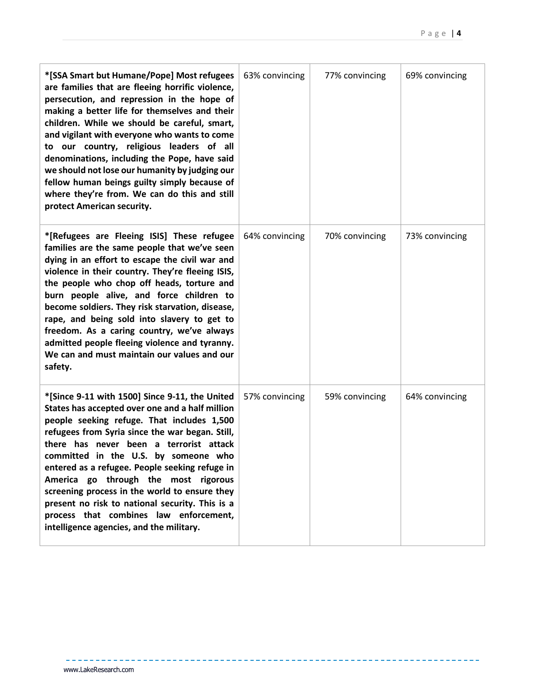-----------------

| *[SSA Smart but Humane/Pope] Most refugees<br>are families that are fleeing horrific violence,<br>persecution, and repression in the hope of<br>making a better life for themselves and their<br>children. While we should be careful, smart,<br>and vigilant with everyone who wants to come<br>to our country, religious leaders of all<br>denominations, including the Pope, have said<br>we should not lose our humanity by judging our<br>fellow human beings guilty simply because of<br>where they're from. We can do this and still<br>protect American security. | 63% convincing | 77% convincing | 69% convincing |
|---------------------------------------------------------------------------------------------------------------------------------------------------------------------------------------------------------------------------------------------------------------------------------------------------------------------------------------------------------------------------------------------------------------------------------------------------------------------------------------------------------------------------------------------------------------------------|----------------|----------------|----------------|
| *[Refugees are Fleeing ISIS] These refugee<br>families are the same people that we've seen<br>dying in an effort to escape the civil war and<br>violence in their country. They're fleeing ISIS,<br>the people who chop off heads, torture and<br>burn people alive, and force children to<br>become soldiers. They risk starvation, disease,<br>rape, and being sold into slavery to get to<br>freedom. As a caring country, we've always<br>admitted people fleeing violence and tyranny.<br>We can and must maintain our values and our<br>safety.                     | 64% convincing | 70% convincing | 73% convincing |
| *[Since 9-11 with 1500] Since 9-11, the United<br>States has accepted over one and a half million<br>people seeking refuge. That includes 1,500<br>refugees from Syria since the war began. Still,<br>there has never been a terrorist attack<br>committed in the U.S. by someone who<br>entered as a refugee. People seeking refuge in<br>America go through the most rigorous<br>screening process in the world to ensure they<br>present no risk to national security. This is a<br>process that combines law enforcement,<br>intelligence agencies, and the military. | 57% convincing | 59% convincing | 64% convincing |

 $- - -$ 

<u> 22222222</u>